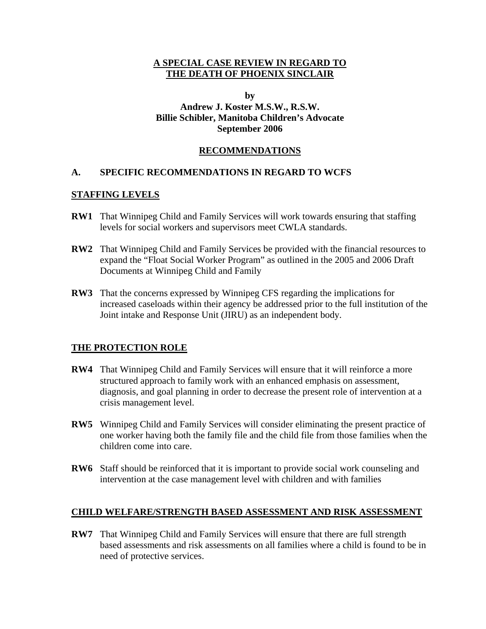#### **A SPECIAL CASE REVIEW IN REGARD TO THE DEATH OF PHOENIX SINCLAIR**

#### **by Andrew J. Koster M.S.W., R.S.W. Billie Schibler, Manitoba Children's Advocate September 2006**

### **RECOMMENDATIONS**

### **A. SPECIFIC RECOMMENDATIONS IN REGARD TO WCFS**

#### **STAFFING LEVELS**

- **RW1** That Winnipeg Child and Family Services will work towards ensuring that staffing levels for social workers and supervisors meet CWLA standards.
- **RW2** That Winnipeg Child and Family Services be provided with the financial resources to expand the "Float Social Worker Program" as outlined in the 2005 and 2006 Draft Documents at Winnipeg Child and Family
- **RW3** That the concerns expressed by Winnipeg CFS regarding the implications for increased caseloads within their agency be addressed prior to the full institution of the Joint intake and Response Unit (JIRU) as an independent body.

#### **THE PROTECTION ROLE**

- **RW4** That Winnipeg Child and Family Services will ensure that it will reinforce a more structured approach to family work with an enhanced emphasis on assessment, diagnosis, and goal planning in order to decrease the present role of intervention at a crisis management level.
- **RW5** Winnipeg Child and Family Services will consider eliminating the present practice of one worker having both the family file and the child file from those families when the children come into care.
- **RW6** Staff should be reinforced that it is important to provide social work counseling and intervention at the case management level with children and with families

#### **CHILD WELFARE/STRENGTH BASED ASSESSMENT AND RISK ASSESSMENT**

**RW7** That Winnipeg Child and Family Services will ensure that there are full strength based assessments and risk assessments on all families where a child is found to be in need of protective services.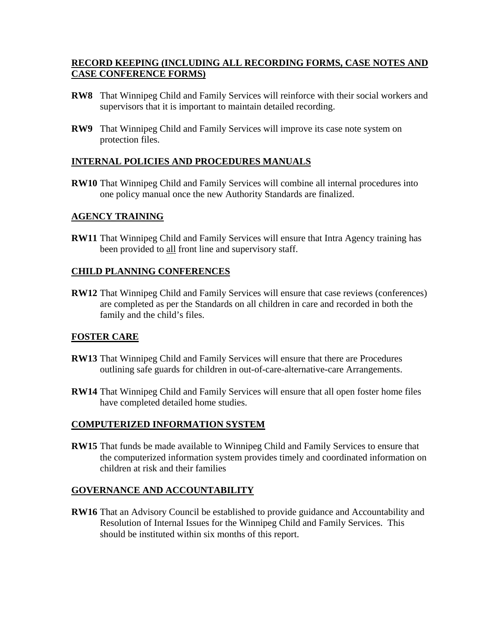## **RECORD KEEPING (INCLUDING ALL RECORDING FORMS, CASE NOTES AND CASE CONFERENCE FORMS)**

- **RW8** That Winnipeg Child and Family Services will reinforce with their social workers and supervisors that it is important to maintain detailed recording.
- **RW9** That Winnipeg Child and Family Services will improve its case note system on protection files.

### **INTERNAL POLICIES AND PROCEDURES MANUALS**

**RW10** That Winnipeg Child and Family Services will combine all internal procedures into one policy manual once the new Authority Standards are finalized.

### **AGENCY TRAINING**

**RW11** That Winnipeg Child and Family Services will ensure that Intra Agency training has been provided to all front line and supervisory staff.

### **CHILD PLANNING CONFERENCES**

**RW12** That Winnipeg Child and Family Services will ensure that case reviews (conferences) are completed as per the Standards on all children in care and recorded in both the family and the child's files.

## **FOSTER CARE**

- **RW13** That Winnipeg Child and Family Services will ensure that there are Procedures outlining safe guards for children in out-of-care-alternative-care Arrangements.
- **RW14** That Winnipeg Child and Family Services will ensure that all open foster home files have completed detailed home studies.

#### **COMPUTERIZED INFORMATION SYSTEM**

**RW15** That funds be made available to Winnipeg Child and Family Services to ensure that the computerized information system provides timely and coordinated information on children at risk and their families

## **GOVERNANCE AND ACCOUNTABILITY**

**RW16** That an Advisory Council be established to provide guidance and Accountability and Resolution of Internal Issues for the Winnipeg Child and Family Services. This should be instituted within six months of this report.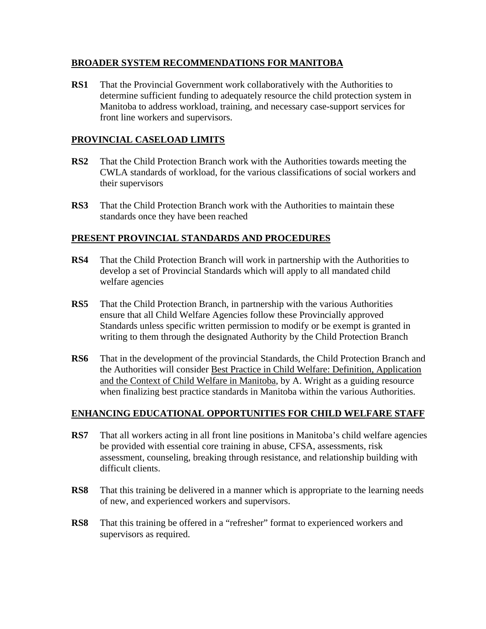## **BROADER SYSTEM RECOMMENDATIONS FOR MANITOBA**

**RS1** That the Provincial Government work collaboratively with the Authorities to determine sufficient funding to adequately resource the child protection system in Manitoba to address workload, training, and necessary case-support services for front line workers and supervisors.

## **PROVINCIAL CASELOAD LIMITS**

- **RS2** That the Child Protection Branch work with the Authorities towards meeting the CWLA standards of workload, for the various classifications of social workers and their supervisors
- **RS3** That the Child Protection Branch work with the Authorities to maintain these standards once they have been reached

## **PRESENT PROVINCIAL STANDARDS AND PROCEDURES**

- **RS4** That the Child Protection Branch will work in partnership with the Authorities to develop a set of Provincial Standards which will apply to all mandated child welfare agencies
- **RS5** That the Child Protection Branch, in partnership with the various Authorities ensure that all Child Welfare Agencies follow these Provincially approved Standards unless specific written permission to modify or be exempt is granted in writing to them through the designated Authority by the Child Protection Branch
- **RS6** That in the development of the provincial Standards, the Child Protection Branch and the Authorities will consider Best Practice in Child Welfare: Definition, Application and the Context of Child Welfare in Manitoba, by A. Wright as a guiding resource when finalizing best practice standards in Manitoba within the various Authorities.

## **ENHANCING EDUCATIONAL OPPORTUNITIES FOR CHILD WELFARE STAFF**

- **RS7** That all workers acting in all front line positions in Manitoba's child welfare agencies be provided with essential core training in abuse, CFSA, assessments, risk assessment, counseling, breaking through resistance, and relationship building with difficult clients.
- **RS8** That this training be delivered in a manner which is appropriate to the learning needs of new, and experienced workers and supervisors.
- **RS8** That this training be offered in a "refresher" format to experienced workers and supervisors as required.